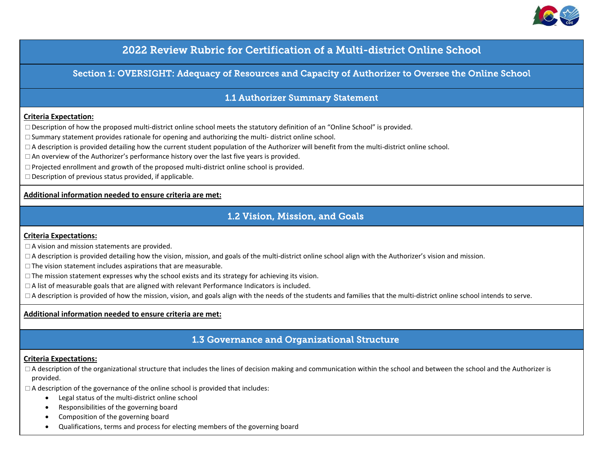

# 2022 Review Rubric for Certification of a Multi-district Online School

Section 1: OVERSIGHT: Adequacy of Resources and Capacity of Authorizer to Oversee the Online School

### 1.1 Authorizer Summary Statement

#### **Criteria Expectation:**

 $\Box$  Description of how the proposed multi-district online school meets the statutory definition of an "Online School" is provided.

 $\square$  Summary statement provides rationale for opening and authorizing the multi- district online school.

 $\Box$  A description is provided detailing how the current student population of the Authorizer will benefit from the multi-district online school.

 $\Box$  An overview of the Authorizer's performance history over the last five years is provided.

 $\Box$  Projected enrollment and growth of the proposed multi-district online school is provided.

 $\square$  Description of previous status provided, if applicable.

#### **Additional information needed to ensure criteria are met:**

### 1.2 Vision, Mission, and Goals

#### **Criteria Expectations:**

 $\Box$  A vision and mission statements are provided.

 $\Box$  A description is provided detailing how the vision, mission, and goals of the multi-district online school align with the Authorizer's vision and mission.

 $\square$  The vision statement includes aspirations that are measurable.

 $\Box$  The mission statement expresses why the school exists and its strategy for achieving its vision.

A list of measurable goals that are aligned with relevant Performance Indicators is included.

 $\Box$  A description is provided of how the mission, vision, and goals align with the needs of the students and families that the multi-district online school intends to serve.

### **Additional information needed to ensure criteria are met:**

## 1.3 Governance and Organizational Structure

#### **Criteria Expectations:**

 $\Box$  A description of the organizational structure that includes the lines of decision making and communication within the school and between the school and the Authorizer is provided.

 $\Box$  A description of the governance of the online school is provided that includes:

- Legal status of the multi-district online school
- Responsibilities of the governing board
- Composition of the governing board
- Qualifications, terms and process for electing members of the governing board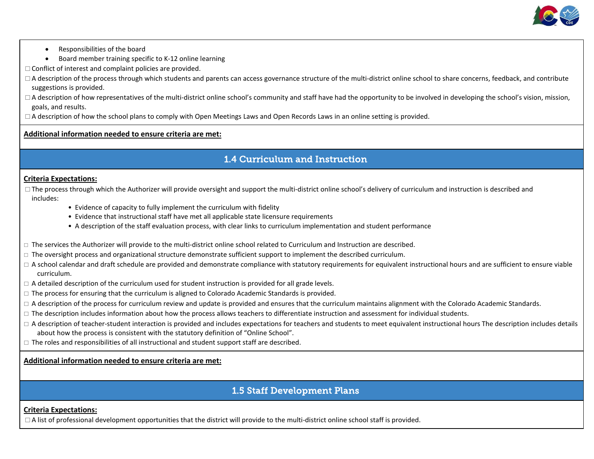

- Responsibilities of the board
- Board member training specific to K-12 online learning
- $\Box$  Conflict of interest and complaint policies are provided.
- $\Box$  A description of the process through which students and parents can access governance structure of the multi-district online school to share concerns, feedback, and contribute suggestions is provided.
- $\Box$  A description of how representatives of the multi-district online school's community and staff have had the opportunity to be involved in developing the school's vision, mission, goals, and results.
- $\Box$  A description of how the school plans to comply with Open Meetings Laws and Open Records Laws in an online setting is provided.

# 1.4 Curriculum and Instruction

#### **Criteria Expectations:**

 $\Box$  The process through which the Authorizer will provide oversight and support the multi-district online school's delivery of curriculum and instruction is described and includes:

- Evidence of capacity to fully implement the curriculum with fidelity
- Evidence that instructional staff have met all applicable state licensure requirements
- A description of the staff evaluation process, with clear links to curriculum implementation and student performance
- $\Box$  The services the Authorizer will provide to the multi-district online school related to Curriculum and Instruction are described.
- $\Box$  The oversight process and organizational structure demonstrate sufficient support to implement the described curriculum.
- $\Box$  A school calendar and draft schedule are provided and demonstrate compliance with statutory requirements for equivalent instructional hours and are sufficient to ensure viable curriculum.
- $\Box$  A detailed description of the curriculum used for student instruction is provided for all grade levels.
- $\Box$  The process for ensuring that the curriculum is aligned to Colorado Academic Standards is provided.
- $\Box$  A description of the process for curriculum review and update is provided and ensures that the curriculum maintains alignment with the Colorado Academic Standards.
- $\Box$  The description includes information about how the process allows teachers to differentiate instruction and assessment for individual students.
- $\Box$  A description of teacher-student interaction is provided and includes expectations for teachers and students to meet equivalent instructional hours The description includes details about how the process is consistent with the statutory definition of "Online School".
- $\Box$  The roles and responsibilities of all instructional and student support staff are described.

#### **Additional information needed to ensure criteria are met:**

# 1.5 Staff Development Plans

#### **Criteria Expectations:**

 $\Box$  A list of professional development opportunities that the district will provide to the multi-district online school staff is provided.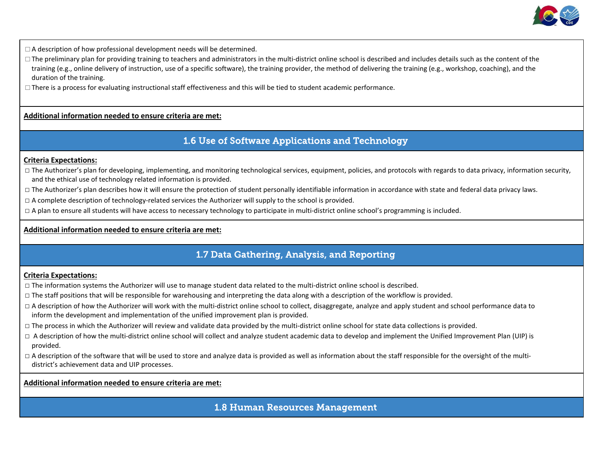

 $\Box$  A description of how professional development needs will be determined.

- $\Box$  The preliminary plan for providing training to teachers and administrators in the multi-district online school is described and includes details such as the content of the training (e.g., online delivery of instruction, use of a specific software), the training provider, the method of delivering the training (e.g., workshop, coaching), and the duration of the training.
- $\Box$  There is a process for evaluating instructional staff effectiveness and this will be tied to student academic performance.

### **Additional information needed to ensure criteria are met:**

### 1.6 Use of Software Applications and Technology

#### **Criteria Expectations:**

- □ The Authorizer's plan for developing, implementing, and monitoring technological services, equipment, policies, and protocols with regards to data privacy, information security, and the ethical use of technology related information is provided.
- □ The Authorizer's plan describes how it will ensure the protection of student personally identifiable information in accordance with state and federal data privacy laws.
- □ A complete description of technology-related services the Authorizer will supply to the school is provided.
- $\Box$  A plan to ensure all students will have access to necessary technology to participate in multi-district online school's programming is included.

### **Additional information needed to ensure criteria are met:**

# 1.7 Data Gathering, Analysis, and Reporting

#### **Criteria Expectations:**

- $\Box$  The information systems the Authorizer will use to manage student data related to the multi-district online school is described.
- $\Box$  The staff positions that will be responsible for warehousing and interpreting the data along with a description of the workflow is provided.
- $\Box$  A description of how the Authorizer will work with the multi-district online school to collect, disaggregate, analyze and apply student and school performance data to inform the development and implementation of the unified improvement plan is provided.
- □ The process in which the Authorizer will review and validate data provided by the multi-district online school for state data collections is provided.
- □ A description of how the multi-district online school will collect and analyze student academic data to develop and implement the Unified Improvement Plan (UIP) is provided.
- $\Box$  A description of the software that will be used to store and analyze data is provided as well as information about the staff responsible for the oversight of the multidistrict's achievement data and UIP processes.

#### **Additional information needed to ensure criteria are met:**

### 1.8 Human Resources Management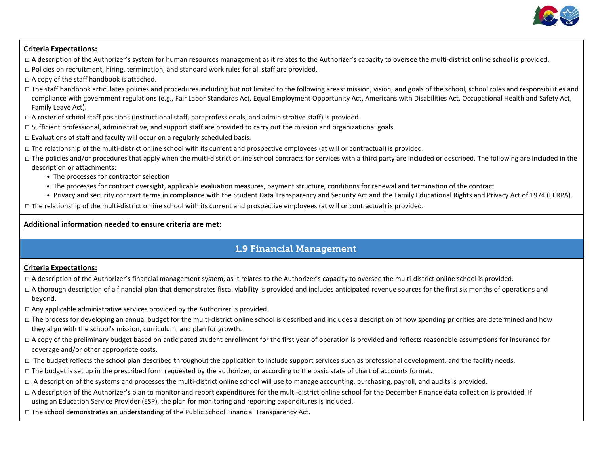

### **Criteria Expectations:**

- $\Box$  A description of the Authorizer's system for human resources management as it relates to the Authorizer's capacity to oversee the multi-district online school is provided.
- $\Box$  Policies on recruitment, hiring, termination, and standard work rules for all staff are provided.
- $\Box$  A copy of the staff handbook is attached.
- □ The staff handbook articulates policies and procedures including but not limited to the following areas: mission, vision, and goals of the school, school roles and responsibilities and compliance with government regulations (e.g., Fair Labor Standards Act, Equal Employment Opportunity Act, Americans with Disabilities Act, Occupational Health and Safety Act, Family Leave Act).
- □ A roster of school staff positions (instructional staff, paraprofessionals, and administrative staff) is provided.
- $\Box$  Sufficient professional, administrative, and support staff are provided to carry out the mission and organizational goals.
- $\square$  Evaluations of staff and faculty will occur on a regularly scheduled basis.
- □ The relationship of the multi-district online school with its current and prospective employees (at will or contractual) is provided.
- $\Box$  The policies and/or procedures that apply when the multi-district online school contracts for services with a third party are included or described. The following are included in the description or attachments:
	- The processes for contractor selection
	- The processes for contract oversight, applicable evaluation measures, payment structure, conditions for renewal and termination of the contract
	- Privacy and security contract terms in compliance with the Student Data Transparency and Security Act and the Family Educational Rights and Privacy Act of 1974 (FERPA).

□ The relationship of the multi-district online school with its current and prospective employees (at will or contractual) is provided.

### **Additional information needed to ensure criteria are met:**

# 1.9 Financial Management

- $\Box$  A description of the Authorizer's financial management system, as it relates to the Authorizer's capacity to oversee the multi-district online school is provided.
- □ A thorough description of a financial plan that demonstrates fiscal viability is provided and includes anticipated revenue sources for the first six months of operations and beyond.
- $\Box$  Any applicable administrative services provided by the Authorizer is provided.
- $\Box$  The process for developing an annual budget for the multi-district online school is described and includes a description of how spending priorities are determined and how they align with the school's mission, curriculum, and plan for growth.
- □ A copy of the preliminary budget based on anticipated student enrollment for the first year of operation is provided and reflects reasonable assumptions for insurance for coverage and/or other appropriate costs.
- □ The budget reflects the school plan described throughout the application to include support services such as professional development, and the facility needs.
- $\Box$  The budget is set up in the prescribed form requested by the authorizer, or according to the basic state of chart of accounts format.
- $\Box$  A description of the systems and processes the multi-district online school will use to manage accounting, purchasing, payroll, and audits is provided.
- □ A description of the Authorizer's plan to monitor and report expenditures for the multi-district online school for the December Finance data collection is provided. If using an Education Service Provider (ESP), the plan for monitoring and reporting expenditures is included.
- $\Box$  The school demonstrates an understanding of the Public School Financial Transparency Act.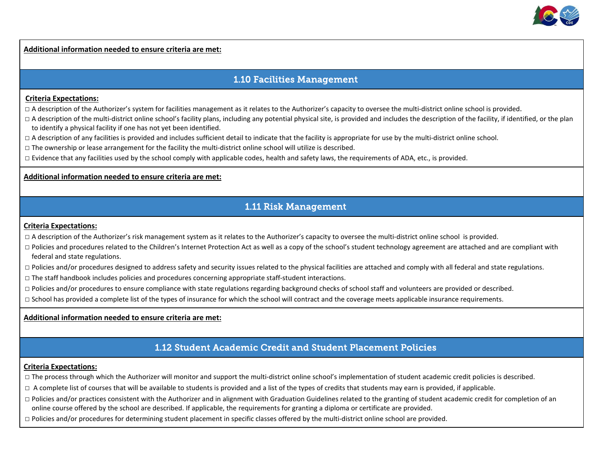

# 1.10 Facilities Management

#### **Criteria Expectations:**

 $\Box$  A description of the Authorizer's system for facilities management as it relates to the Authorizer's capacity to oversee the multi-district online school is provided.

 $\Box$  A description of the multi-district online school's facility plans, including any potential physical site, is provided and includes the description of the facility, if identified, or the plan to identify a physical facility if one has not yet been identified.

 $\Box$  A description of any facilities is provided and includes sufficient detail to indicate that the facility is appropriate for use by the multi-district online school.

 $\Box$  The ownership or lease arrangement for the facility the multi-district online school will utilize is described.

 $\Box$  Evidence that any facilities used by the school comply with applicable codes, health and safety laws, the requirements of ADA, etc., is provided.

#### **Additional information needed to ensure criteria are met:**

# 1.11 Risk Management

#### **Criteria Expectations:**

□ A description of the Authorizer's risk management system as it relates to the Authorizer's capacity to oversee the multi-district online school is provided.

- $\Box$  Policies and procedures related to the Children's Internet Protection Act as well as a copy of the school's student technology agreement are attached and are compliant with federal and state regulations.
- $\Box$  Policies and/or procedures designed to address safety and security issues related to the physical facilities are attached and comply with all federal and state regulations.
- $\Box$  The staff handbook includes policies and procedures concerning appropriate staff-student interactions.
- $\Box$  Policies and/or procedures to ensure compliance with state regulations regarding background checks of school staff and volunteers are provided or described.
- $\Box$  School has provided a complete list of the types of insurance for which the school will contract and the coverage meets applicable insurance requirements.

#### **Additional information needed to ensure criteria are met:**

## 1.12 Student Academic Credit and Student Placement Policies

- □ The process through which the Authorizer will monitor and support the multi-district online school's implementation of student academic credit policies is described.
- □ A complete list of courses that will be available to students is provided and a list of the types of credits that students may earn is provided, if applicable.
- □ Policies and/or practices consistent with the Authorizer and in alignment with Graduation Guidelines related to the granting of student academic credit for completion of an online course offered by the school are described. If applicable, the requirements for granting a diploma or certificate are provided.
- $\Box$  Policies and/or procedures for determining student placement in specific classes offered by the multi-district online school are provided.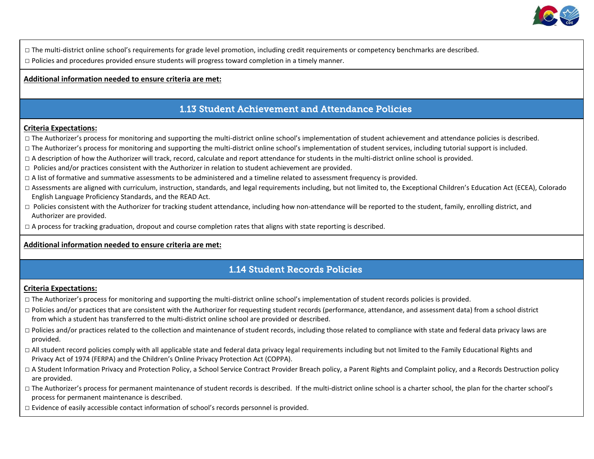

□ The multi-district online school's requirements for grade level promotion, including credit requirements or competency benchmarks are described.

 $\Box$  Policies and procedures provided ensure students will progress toward completion in a timely manner.

#### **Additional information needed to ensure criteria are met:**

# 1.13 Student Achievement and Attendance Policies

#### **Criteria Expectations:**

- □ The Authorizer's process for monitoring and supporting the multi-district online school's implementation of student achievement and attendance policies is described.
- □ The Authorizer's process for monitoring and supporting the multi-district online school's implementation of student services, including tutorial support is included.
- □ A description of how the Authorizer will track, record, calculate and report attendance for students in the multi-district online school is provided.
- $\Box$  Policies and/or practices consistent with the Authorizer in relation to student achievement are provided.
- $\Box$  A list of formative and summative assessments to be administered and a timeline related to assessment frequency is provided.
- □ Assessments are aligned with curriculum, instruction, standards, and legal requirements including, but not limited to, the Exceptional Children's Education Act (ECEA), Colorado English Language Proficiency Standards, and the READ Act.
- □ Policies consistent with the Authorizer for tracking student attendance, including how non-attendance will be reported to the student, family, enrolling district, and Authorizer are provided.
- $\Box$  A process for tracking graduation, dropout and course completion rates that aligns with state reporting is described.

#### **Additional information needed to ensure criteria are met:**

# 1.14 Student Records Policies

- $\Box$  The Authorizer's process for monitoring and supporting the multi-district online school's implementation of student records policies is provided.
- $\Box$  Policies and/or practices that are consistent with the Authorizer for requesting student records (performance, attendance, and assessment data) from a school district from which a student has transferred to the multi-district online school are provided or described.
- □ Policies and/or practices related to the collection and maintenance of student records, including those related to compliance with state and federal data privacy laws are provided.
- □ All student record policies comply with all applicable state and federal data privacy legal requirements including but not limited to the Family Educational Rights and Privacy Act of 1974 (FERPA) and the Children's Online Privacy Protection Act (COPPA).
- □ A Student Information Privacy and Protection Policy, a School Service Contract Provider Breach policy, a Parent Rights and Complaint policy, and a Records Destruction policy are provided.
- □ The Authorizer's process for permanent maintenance of student records is described. If the multi-district online school is a charter school, the plan for the charter school's process for permanent maintenance is described.
- $\Box$  Evidence of easily accessible contact information of school's records personnel is provided.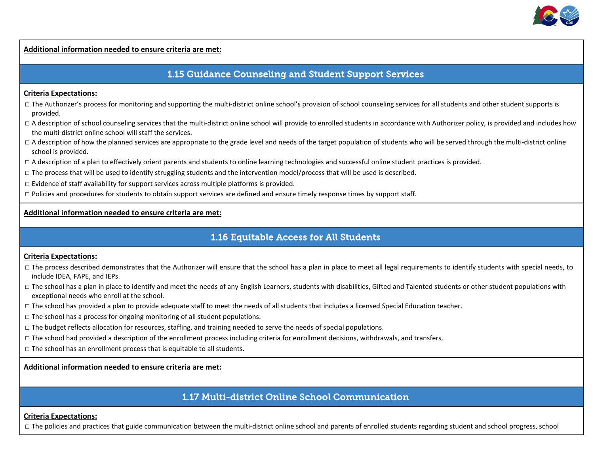

# 1.15 Guidance Counseling and Student Support Services

#### **Criteria Expectations:**

- □ The Authorizer's process for monitoring and supporting the multi-district online school's provision of school counseling services for all students and other student supports is provided.
- □ A description of school counseling services that the multi-district online school will provide to enrolled students in accordance with Authorizer policy, is provided and includes how the multi-district online school will staff the services.
- $\Box$  A description of how the planned services are appropriate to the grade level and needs of the target population of students who will be served through the multi-district online school is provided.
- □ A description of a plan to effectively orient parents and students to online learning technologies and successful online student practices is provided.
- $\Box$  The process that will be used to identify struggling students and the intervention model/process that will be used is described.
- $\Box$  Evidence of staff availability for support services across multiple platforms is provided.
- $\Box$  Policies and procedures for students to obtain support services are defined and ensure timely response times by support staff.

#### **Additional information needed to ensure criteria are met:**

# 1.16 Equitable Access for All Students

#### **Criteria Expectations:**

- □ The process described demonstrates that the Authorizer will ensure that the school has a plan in place to meet all legal requirements to identify students with special needs, to include IDEA, FAPE, and IEPs.
- □ The school has a plan in place to identify and meet the needs of any English Learners, students with disabilities, Gifted and Talented students or other student populations with exceptional needs who enroll at the school.
- $\Box$  The school has provided a plan to provide adequate staff to meet the needs of all students that includes a licensed Special Education teacher.
- $\square$  The school has a process for ongoing monitoring of all student populations.
- $\Box$  The budget reflects allocation for resources, staffing, and training needed to serve the needs of special populations.
- □ The school had provided a description of the enrollment process including criteria for enrollment decisions, withdrawals, and transfers.
- $\Box$  The school has an enrollment process that is equitable to all students.

**Additional information needed to ensure criteria are met:**

### 1.17 Multi-district Online School Communication

#### **Criteria Expectations:**

□ The policies and practices that guide communication between the multi-district online school and parents of enrolled students regarding student and school progress, school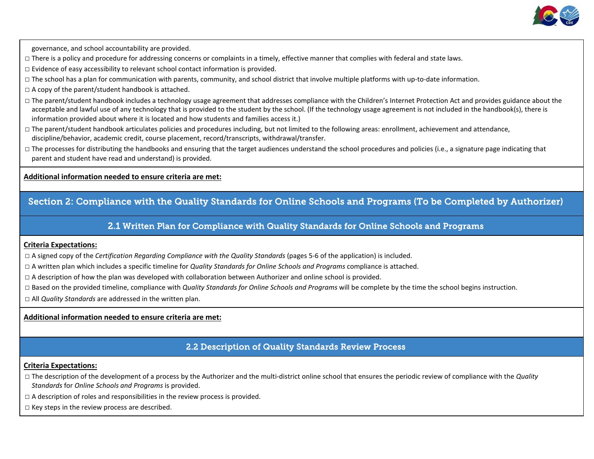

governance, and school accountability are provided.

- □ There is a policy and procedure for addressing concerns or complaints in a timely, effective manner that complies with federal and state laws.
- $\square$  Evidence of easy accessibility to relevant school contact information is provided.
- □ The school has a plan for communication with parents, community, and school district that involve multiple platforms with up-to-date information.
- $\square$  A copy of the parent/student handbook is attached.
- □ The parent/student handbook includes a technology usage agreement that addresses compliance with the Children's Internet Protection Act and provides guidance about the acceptable and lawful use of any technology that is provided to the student by the school. (If the technology usage agreement is not included in the handbook(s), there is information provided about where it is located and how students and families access it.)
- □ The parent/student handbook articulates policies and procedures including, but not limited to the following areas: enrollment, achievement and attendance, discipline/behavior, academic credit, course placement, record/transcripts, withdrawal/transfer.
- □ The processes for distributing the handbooks and ensuring that the target audiences understand the school procedures and policies (i.e., a signature page indicating that parent and student have read and understand) is provided.

**Additional information needed to ensure criteria are met:**

### Section 2: Compliance with the Quality Standards for Online Schools and Programs (To be Completed by Authorizer)

2.1 Written Plan for Compliance with Quality Standards for Online Schools and Programs

#### **Criteria Expectations:**

- □ A signed copy of the *Certification Regarding Compliance with the Quality Standards* (pages 5-6 of the application) is included.
- □ A written plan which includes a specific timeline for *Quality Standards for Online Schools and Programs* compliance is attached.
- $\Box$  A description of how the plan was developed with collaboration between Authorizer and online school is provided.
- □ Based on the provided timeline, compliance with *Quality Standards for Online Schools and Programs* will be complete by the time the school begins instruction.
- □ All *Quality Standards* are addressed in the written plan.

### **Additional information needed to ensure criteria are met:**

### 2.2 Description of Quality Standards Review Process

- □ The description of the development of a process by the Authorizer and the multi-district online school that ensures the periodic review of compliance with the *Quality Standards* for *Online Schools and Programs* is provided.
- $\Box$  A description of roles and responsibilities in the review process is provided.
- $\square$  Key steps in the review process are described.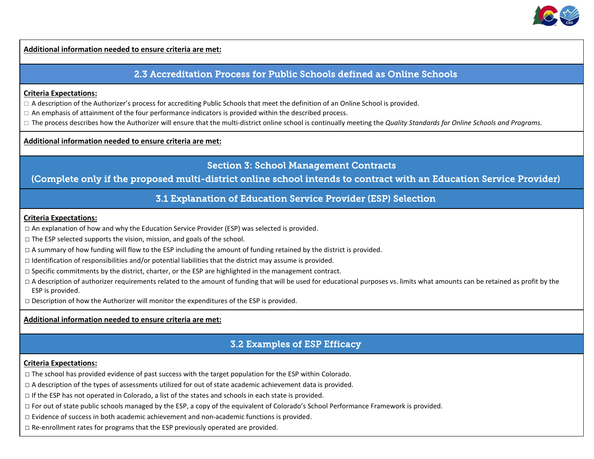

### 2.3 Accreditation Process for Public Schools defined as Online Schools

#### **Criteria Expectations:**

 $\Box$  A description of the Authorizer's process for accrediting Public Schools that meet the definition of an Online School is provided.

 $\Box$  An emphasis of attainment of the four performance indicators is provided within the described process.

□ The process describes how the Authorizer will ensure that the multi-district online school is continually meeting the *Quality Standards for Online Schools and Programs.* 

#### **Additional information needed to ensure criteria are met:**

### Section 3: School Management Contracts

### (Complete only if the proposed multi-district online school intends to contract with an Education Service Provider)

### 3.1 Explanation of Education Service Provider (ESP) Selection

#### **Criteria Expectations:**

- $\Box$  An explanation of how and why the Education Service Provider (ESP) was selected is provided.
- $\Box$  The ESP selected supports the vision, mission, and goals of the school.
- $\Box$  A summary of how funding will flow to the ESP including the amount of funding retained by the district is provided.
- $\Box$  Identification of responsibilities and/or potential liabilities that the district may assume is provided.
- $\Box$  Specific commitments by the district, charter, or the ESP are highlighted in the management contract.
- $\Box$  A description of authorizer requirements related to the amount of funding that will be used for educational purposes vs. limits what amounts can be retained as profit by the ESP is provided.
- $\square$  Description of how the Authorizer will monitor the expenditures of the ESP is provided.

**Additional information needed to ensure criteria are met:**

### 3.2 Examples of ESP Efficacy

- $\Box$  The school has provided evidence of past success with the target population for the ESP within Colorado.
- □ A description of the types of assessments utilized for out of state academic achievement data is provided.
- $\Box$  If the ESP has not operated in Colorado, a list of the states and schools in each state is provided.
- $\Box$  For out of state public schools managed by the ESP, a copy of the equivalent of Colorado's School Performance Framework is provided.
- $\square$  Evidence of success in both academic achievement and non-academic functions is provided.
- $\Box$  Re-enrollment rates for programs that the ESP previously operated are provided.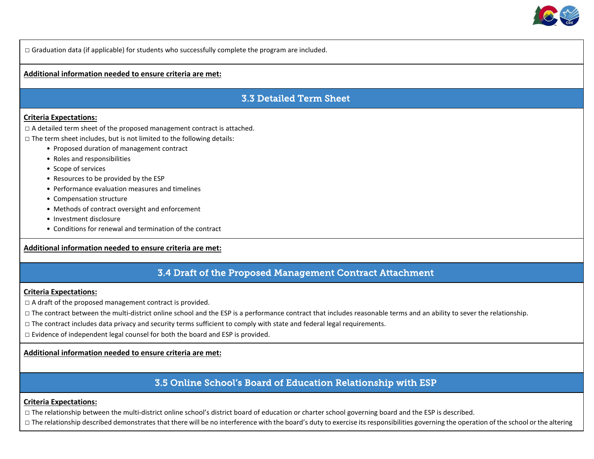

□ Graduation data (if applicable) for students who successfully complete the program are included.

#### **Additional information needed to ensure criteria are met:**

# 3.3 Detailed Term Sheet

#### **Criteria Expectations:**

 $\Box$  A detailed term sheet of the proposed management contract is attached.

 $\Box$  The term sheet includes, but is not limited to the following details:

- Proposed duration of management contract
- Roles and responsibilities
- Scope of services
- Resources to be provided by the ESP
- Performance evaluation measures and timelines
- Compensation structure
- Methods of contract oversight and enforcement
- Investment disclosure
- Conditions for renewal and termination of the contract

#### **Additional information needed to ensure criteria are met:**

# 3.4 Draft of the Proposed Management Contract Attachment

#### **Criteria Expectations:**

 $\Box$  A draft of the proposed management contract is provided.

 $\Box$  The contract between the multi-district online school and the ESP is a performance contract that includes reasonable terms and an ability to sever the relationship.

 $\Box$  The contract includes data privacy and security terms sufficient to comply with state and federal legal requirements.

□ Evidence of independent legal counsel for both the board and ESP is provided.

#### **Additional information needed to ensure criteria are met:**

### 3.5 Online School's Board of Education Relationship with ESP

#### **Criteria Expectations:**

 $\Box$  The relationship between the multi-district online school's district board of education or charter school governing board and the ESP is described.

□ The relationship described demonstrates that there will be no interference with the board's duty to exercise its responsibilities governing the operation of the school or the altering